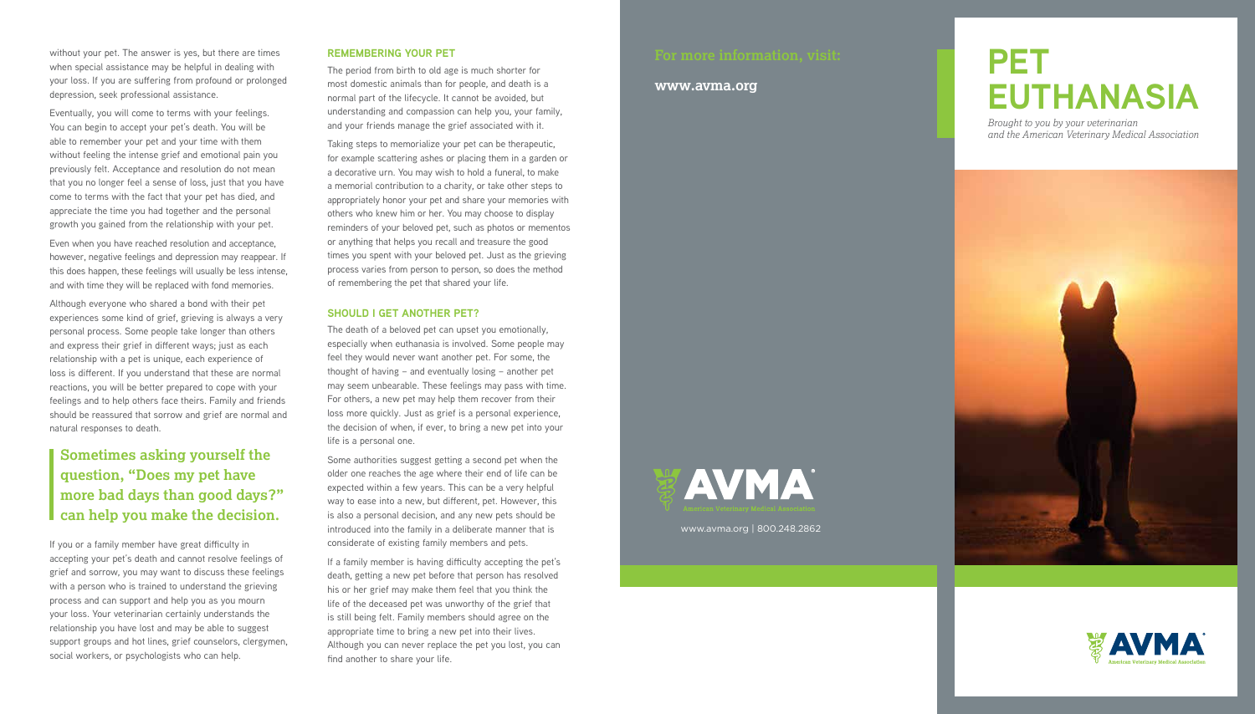# **PET EUTHANASIA**

*Brought to you by your veterinarian and the American Veterinary Medical Association*





#### **www.avma.org**



without your pet. The answer is yes, but there are times when special assistance may be helpful in dealing with your loss. If you are suffering from profound or prolonged depression, seek professional assistance.

Eventually, you will come to terms with your feelings. You can begin to accept your pet's death. You will be able to remember your pet and your time with them without feeling the intense grief and emotional pain you previously felt. Acceptance and resolution do not mean that you no longer feel a sense of loss, just that you have come to terms with the fact that your pet has died, and appreciate the time you had together and the personal growth you gained from the relationship with your pet.

Even when you have reached resolution and acceptance, however, negative feelings and depression may reappear. If this does happen, these feelings will usually be less intense, and with time they will be replaced with fond memories.

Although everyone who shared a bond with their pet experiences some kind of grief, grieving is always a very personal process. Some people take longer than others and express their grief in different ways; just as each relationship with a pet is unique, each experience of loss is different. If you understand that these are normal reactions, you will be better prepared to cope with your feelings and to help others face theirs. Family and friends should be reassured that sorrow and grief are normal and natural responses to death.

If you or a family member have great difficulty in accepting your pet's death and cannot resolve feelings of grief and sorrow, you may want to discuss these feelings with a person who is trained to understand the grieving process and can support and help you as you mourn your loss. Your veterinarian certainly understands the relationship you have lost and may be able to suggest support groups and hot lines, grief counselors, clergymen, social workers, or psychologists who can help.

#### **REMEMBERING YOUR PET**

The period from birth to old age is much shorter for most domestic animals than for people, and death is a normal part of the lifecycle. It cannot be avoided, but understanding and compassion can help you, your family, and your friends manage the grief associated with it.

Taking steps to memorialize your pet can be therapeutic, for example scattering ashes or placing them in a garden or a decorative urn. You may wish to hold a funeral, to make a memorial contribution to a charity, or take other steps to appropriately honor your pet and share your memories with others who knew him or her. You may choose to display reminders of your beloved pet, such as photos or mementos or anything that helps you recall and treasure the good times you spent with your beloved pet. Just as the grieving process varies from person to person, so does the method of remembering the pet that shared your life.

#### **SHOULD I GET ANOTHER PET?**

The death of a beloved pet can upset you emotionally, especially when euthanasia is involved. Some people may feel they would never want another pet. For some, the thought of having – and eventually losing – another pet may seem unbearable. These feelings may pass with time. For others, a new pet may help them recover from their loss more quickly. Just as grief is a personal experience, the decision of when, if ever, to bring a new pet into your life is a personal one.

Some authorities suggest getting a second pet when the older one reaches the age where their end of life can be expected within a few years. This can be a very helpful way to ease into a new, but different, pet. However, this is also a personal decision, and any new pets should be introduced into the family in a deliberate manner that is considerate of existing family members and pets.

If a family member is having difficulty accepting the pet's death, getting a new pet before that person has resolved his or her grief may make them feel that you think the life of the deceased pet was unworthy of the grief that is still being felt. Family members should agree on the appropriate time to bring a new pet into their lives. Although you can never replace the pet you lost, you can find another to share your life.

## **Sometimes asking yourself the question, "Does my pet have more bad days than good days?" can help you make the decision.**

www.avma.org | 800.248.2862